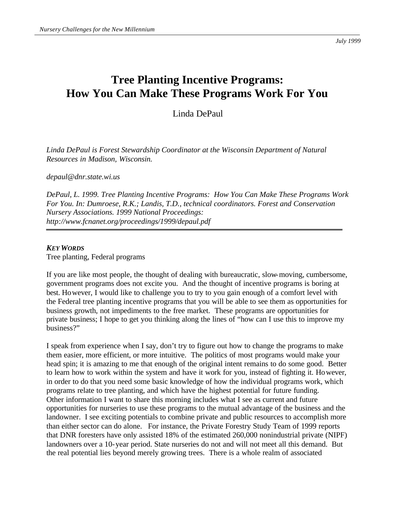*July 1999*

## **Tree Planting Incentive Programs: How You Can Make These Programs Work For You**

Linda DePaul

*Linda DePaul is Forest Stewardship Coordinator at the Wisconsin Department of Natural Resources in Madison, Wisconsin.*

*depaul@dnr.state.wi.us*

*DePaul, L. 1999. Tree Planting Incentive Programs: How You Can Make These Programs Work For You. In: Dumroese, R.K.; Landis, T.D., technical coordinators. Forest and Conservation Nursery Associations. 1999 National Proceedings: http://www.fcnanet.org/proceedings/1999/depaul.pdf*

## *KEY WORDS*

Tree planting, Federal programs

If you are like most people, the thought of dealing with bureaucratic, slow-moving, cumbersome, government programs does not excite you. And the thought of incentive programs is boring at best. However, I would like to challenge you to try to you gain enough of a comfort level with the Federal tree planting incentive programs that you will be able to see them as opportunities for business growth, not impediments to the free market. These programs are opportunities for private business; I hope to get you thinking along the lines of "how can I use this to improve my business?"

I speak from experience when I say, don't try to figure out how to change the programs to make them easier, more efficient, or more intuitive. The politics of most programs would make your head spin; it is amazing to me that enough of the original intent remains to do some good. Better to learn how to work within the system and have it work for you, instead of fighting it. However, in order to do that you need some basic knowledge of how the individual programs work, which programs relate to tree planting, and which have the highest potential for future funding. Other information I want to share this morning includes what I see as current and future opportunities for nurseries to use these programs to the mutual advantage of the business and the landowner. I see exciting potentials to combine private and public resources to accomplish more than either sector can do alone. For instance, the Private Forestry Study Team of 1999 reports that DNR foresters have only assisted 18% of the estimated 260,000 nonindustrial private (NIPF) landowners over a 10-year period. State nurseries do not and will not meet all this demand. But the real potential lies beyond merely growing trees. There is a whole realm of associated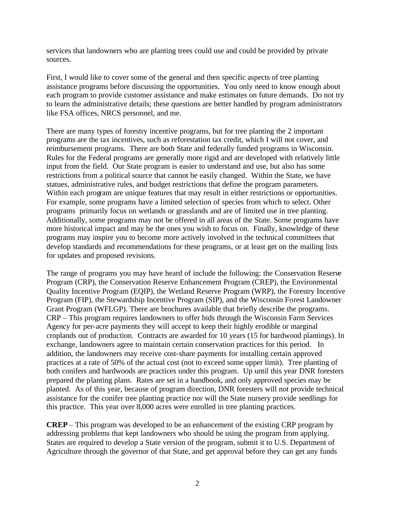services that landowners who are planting trees could use and could be provided by private sources.

First, I would like to cover some of the general and then specific aspects of tree planting assistance programs before discussing the opportunities. You only need to know enough about each program to provide customer assistance and make estimates on future demands. Do not try to learn the administrative details; these questions are better handled by program administrators like FSA offices, NRCS personnel, and me.

There are many types of forestry incentive programs, but for tree planting the 2 important programs are the tax incentives, such as reforestation tax credit, which I will not cover, and reimbursement programs. There are both State and federally funded programs in Wisconsin. Rules for the Federal programs are generally more rigid and are developed with relatively little input from the field. Our State program is easier to understand and use, but also has some restrictions from a political source that cannot be easily changed. Within the State, we have statues, administrative rules, and budget restrictions that define the program parameters. Within each program are unique features that may result in either restrictions or opportunities. For example, some programs have a limited selection of species from which to select. Other programs primarily focus on wetlands or grasslands and are of limited use in tree planting. Additionally, some programs may not be offered in all areas of the State. Some programs have more historical impact and may be the ones you wish to focus on. Finally, knowledge of these programs may inspire you to become more actively involved in the technical committees that develop standards and recommendations for these programs, or at least get on the mailing lists for updates and proposed revisions.

The range of programs you may have heard of include the following: the Conservation Reserve Program (CRP), the Conservation Reserve Enhancement Program (CREP), the Environmental Quality Incentive Program (EQIP), the Wetland Reserve Program (WRP), the Forestry Incentive Program (FIP), the Stewardship Incentive Program (SIP), and the Wisconsin Forest Landowner Grant Program (WFLGP). There are brochures available that briefly describe the programs. CRP – This program requires landowners to offer bids through the Wisconsin Farm Services Agency for per-acre payments they will accept to keep their highly erodible or marginal croplands out of production. Contracts are awarded for 10 years (15 for hardwood plantings). In exchange, landowners agree to maintain certain conservation practices for this period. In addition, the landowners may receive cost-share payments for installing certain approved practices at a rate of 50% of the actual cost (not to exceed some upper limit). Tree planting of both conifers and hardwoods are practices under this program. Up until this year DNR foresters prepared the planting plans. Rates are set in a handbook, and only approved species may be planted. As of this year, because of program direction, DNR foresters will not provide technical assistance for the conifer tree planting practice nor will the State nursery provide seedlings for this practice. This year over 8,000 acres were enrolled in tree planting practices.

**CREP** – This program was developed to be an enhancement of the existing CRP program by addressing problems that kept landowners who should be using the program from applying. States are required to develop a State version of the program, submit it to U.S. Department of Agriculture through the governor of that State, and get approval before they can get any funds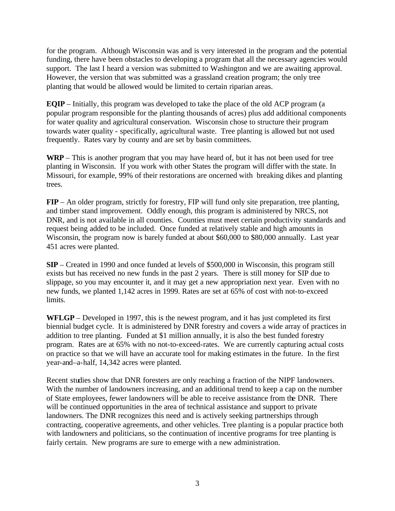for the program. Although Wisconsin was and is very interested in the program and the potential funding, there have been obstacles to developing a program that all the necessary agencies would support. The last I heard a version was submitted to Washington and we are awaiting approval. However, the version that was submitted was a grassland creation program; the only tree planting that would be allowed would be limited to certain riparian areas.

**EQIP** – Initially, this program was developed to take the place of the old ACP program (a popular program responsible for the planting thousands of acres) plus add additional components for water quality and agricultural conservation. Wisconsin chose to structure their program towards water quality - specifically, agricultural waste. Tree planting is allowed but not used frequently. Rates vary by county and are set by basin committees.

**WRP** – This is another program that you may have heard of, but it has not been used for tree planting in Wisconsin. If you work with other States the program will differ with the state. In Missouri, for example, 99% of their restorations are oncerned with breaking dikes and planting trees.

**FIP** – An older program, strictly for forestry, FIP will fund only site preparation, tree planting, and timber stand improvement. Oddly enough, this program is administered by NRCS, not DNR, and is not available in all counties. Counties must meet certain productivity standards and request being added to be included. Once funded at relatively stable and high amounts in Wisconsin, the program now is barely funded at about \$60,000 to \$80,000 annually. Last year 451 acres were planted.

**SIP** – Created in 1990 and once funded at levels of \$500,000 in Wisconsin, this program still exists but has received no new funds in the past 2 years. There is still money for SIP due to slippage, so you may encounter it, and it may get a new appropriation next year. Even with no new funds, we planted 1,142 acres in 1999. Rates are set at 65% of cost with not-to-exceed limits.

**WFLGP** – Developed in 1997, this is the newest program, and it has just completed its first biennial budget cycle. It is administered by DNR forestry and covers a wide array of practices in addition to tree planting. Funded at \$1 million annually, it is also the best funded forestry program. Rates are at 65% with no not-to-exceed-rates. We are currently capturing actual costs on practice so that we will have an accurate tool for making estimates in the future. In the first year-and–a-half, 14,342 acres were planted.

Recent studies show that DNR foresters are only reaching a fraction of the NIPF landowners. With the number of landowners increasing, and an additional trend to keep a cap on the number of State employees, fewer landowners will be able to receive assistance from the DNR. There will be continued opportunities in the area of technical assistance and support to private landowners. The DNR recognizes this need and is actively seeking partnerships through contracting, cooperative agreements, and other vehicles. Tree planting is a popular practice both with landowners and politicians, so the continuation of incentive programs for tree planting is fairly certain. New programs are sure to emerge with a new administration.